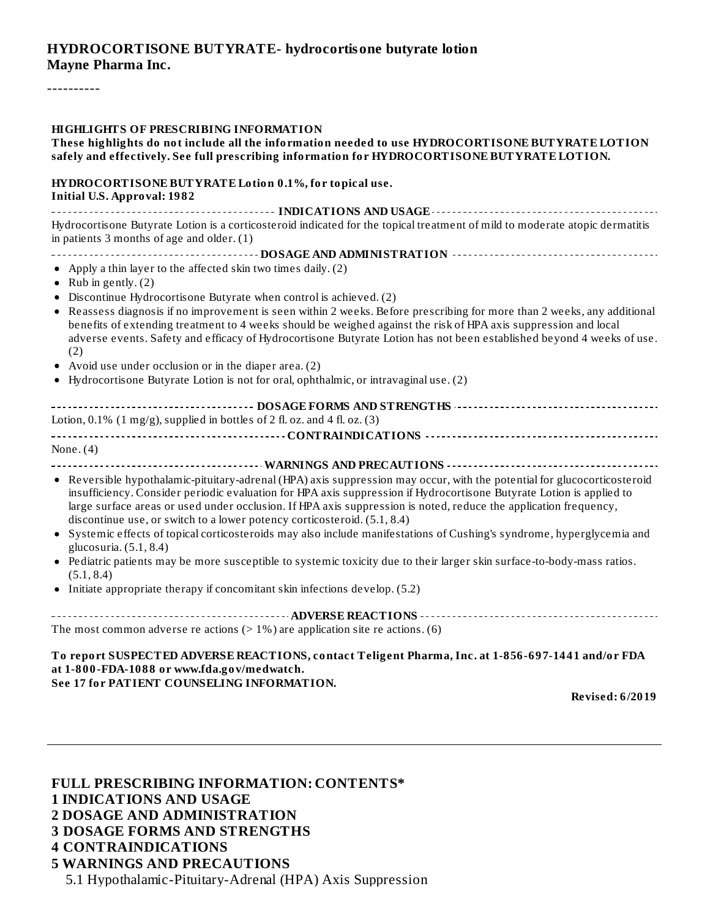#### **HYDROCORTISONE BUTYRATE- hydrocortisone butyrate lotion Mayne Pharma Inc.**

----------

| <b>HIGHLIGHTS OF PRESCRIBING INFORMATION</b><br>These highlights do not include all the information needed to use HYDROCORTISONE BUTYRATE LOTION<br>safely and effectively. See full prescribing information for HYDROCORTISONE BUTYRATE LOTION.                                                                                                                                                                                                                                                                                                                                                                                                                                                                                                                                                                                         |  |  |  |
|------------------------------------------------------------------------------------------------------------------------------------------------------------------------------------------------------------------------------------------------------------------------------------------------------------------------------------------------------------------------------------------------------------------------------------------------------------------------------------------------------------------------------------------------------------------------------------------------------------------------------------------------------------------------------------------------------------------------------------------------------------------------------------------------------------------------------------------|--|--|--|
| HYDROCORTISONE BUTYRATE Lotion 0.1%, for topical use.<br><b>Initial U.S. Approval: 1982</b>                                                                                                                                                                                                                                                                                                                                                                                                                                                                                                                                                                                                                                                                                                                                              |  |  |  |
| Hydrocortisone Butyrate Lotion is a corticosteroid indicated for the topical treatment of mild to moderate atopic dermatitis<br>in patients 3 months of age and older. $(1)$                                                                                                                                                                                                                                                                                                                                                                                                                                                                                                                                                                                                                                                             |  |  |  |
|                                                                                                                                                                                                                                                                                                                                                                                                                                                                                                                                                                                                                                                                                                                                                                                                                                          |  |  |  |
| • Apply a thin layer to the affected skin two times daily. (2)<br>Rub in gently. (2)                                                                                                                                                                                                                                                                                                                                                                                                                                                                                                                                                                                                                                                                                                                                                     |  |  |  |
| Discontinue Hydrocortisone Butyrate when control is achieved. (2)<br>• Reassess diagnosis if no improvement is seen within 2 weeks. Before prescribing for more than 2 weeks, any additional<br>benefits of extending treatment to 4 weeks should be weighed against the risk of HPA axis suppression and local<br>adverse events. Safety and efficacy of Hydrocortisone Butyrate Lotion has not been established beyond 4 weeks of use.<br>(2)                                                                                                                                                                                                                                                                                                                                                                                          |  |  |  |
| • Avoid use under occlusion or in the diaper area. (2)<br>• Hydrocortisone Butyrate Lotion is not for oral, ophthalmic, or intravaginal use. (2)                                                                                                                                                                                                                                                                                                                                                                                                                                                                                                                                                                                                                                                                                         |  |  |  |
| ------------------------------------- DOSAGE FORMS AND STRENGTHS ----------------------------------<br>Lotion, $0.1\%$ (1 mg/g), supplied in bottles of 2 fl. oz. and 4 fl. oz. (3)                                                                                                                                                                                                                                                                                                                                                                                                                                                                                                                                                                                                                                                      |  |  |  |
|                                                                                                                                                                                                                                                                                                                                                                                                                                                                                                                                                                                                                                                                                                                                                                                                                                          |  |  |  |
| None. $(4)$                                                                                                                                                                                                                                                                                                                                                                                                                                                                                                                                                                                                                                                                                                                                                                                                                              |  |  |  |
| • Reversible hypothalamic-pituitary-adrenal (HPA) axis suppression may occur, with the potential for glucocorticosteroid<br>insufficiency. Consider periodic evaluation for HPA axis suppression if Hydrocortisone Butyrate Lotion is applied to<br>large surface areas or used under occlusion. If HPA axis suppression is noted, reduce the application frequency,<br>discontinue use, or switch to a lower potency corticosteroid. (5.1, 8.4)<br>Systemic effects of topical corticosteroids may also include manifestations of Cushing's syndrome, hyperglycemia and<br>$\bullet$<br>glucosuria. (5.1, 8.4)<br>• Pediatric patients may be more susceptible to systemic toxicity due to their larger skin surface-to-body-mass ratios.<br>(5.1, 8.4)<br>• Initiate appropriate therapy if concomitant skin infections develop. (5.2) |  |  |  |
| The most common adverse re actions ( $> 1\%$ ) are application site re actions. (6)                                                                                                                                                                                                                                                                                                                                                                                                                                                                                                                                                                                                                                                                                                                                                      |  |  |  |
| To report SUSPECTED ADVERSE REACTIONS, contact Teligent Pharma, Inc. at 1-856-697-1441 and/or FDA<br>at 1-800-FDA-1088 or www.fda.gov/medwatch.<br>See 17 for PATIENT COUNSELING INFORMATION.<br><b>Revised: 6/2019</b>                                                                                                                                                                                                                                                                                                                                                                                                                                                                                                                                                                                                                  |  |  |  |

#### **FULL PRESCRIBING INFORMATION: CONTENTS\* 1 INDICATIONS AND USAGE 2 DOSAGE AND ADMINISTRATION 3 DOSAGE FORMS AND STRENGTHS 4 CONTRAINDICATIONS 5 WARNINGS AND PRECAUTIONS** 5.1 Hypothalamic-Pituitary-Adrenal (HPA) Axis Suppression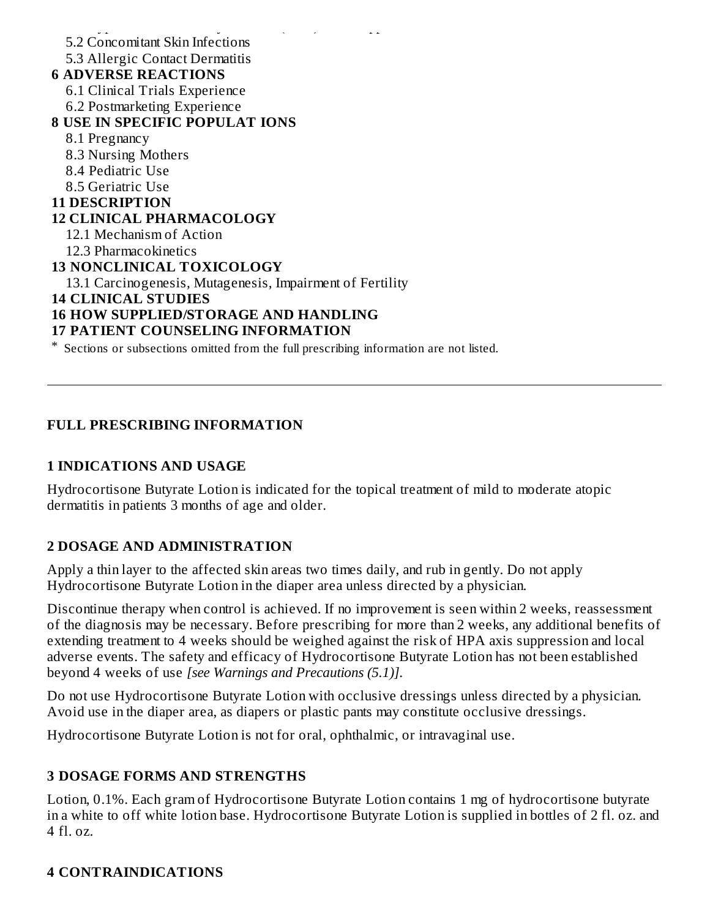$\frac{1}{2}$ .1 Hypothalamic-Pituitary-Adrenal (HPA) Axis Suppression (HPA) Axis Suppression (HPA) Axis Suppression (HPA) Axis Suppression (HPA) Axis Suppression (HPA) Axis Suppression (HPA) Axis Suppression (HPA) Axis Suppre 5.2 Concomitant Skin Infections 5.3 Allergic Contact Dermatitis **6 ADVERSE REACTIONS** 6.1 Clinical Trials Experience 6.2 Postmarketing Experience **8 USE IN SPECIFIC POPULAT IONS** 8.1 Pregnancy 8.3 Nursing Mothers 8.4 Pediatric Use 8.5 Geriatric Use **11 DESCRIPTION 12 CLINICAL PHARMACOLOGY** 12.1 Mechanism of Action 12.3 Pharmacokinetics **13 NONCLINICAL TOXICOLOGY** 13.1 Carcinogenesis, Mutagenesis, Impairment of Fertility **14 CLINICAL STUDIES 16 HOW SUPPLIED/STORAGE AND HANDLING 17 PATIENT COUNSELING INFORMATION** \* Sections or subsections omitted from the full prescribing information are not listed.

#### **FULL PRESCRIBING INFORMATION**

#### **1 INDICATIONS AND USAGE**

Hydrocortisone Butyrate Lotion is indicated for the topical treatment of mild to moderate atopic dermatitis in patients 3 months of age and older.

#### **2 DOSAGE AND ADMINISTRATION**

Apply a thin layer to the affected skin areas two times daily, and rub in gently. Do not apply Hydrocortisone Butyrate Lotion in the diaper area unless directed by a physician.

Discontinue therapy when control is achieved. If no improvement is seen within 2 weeks, reassessment of the diagnosis may be necessary. Before prescribing for more than 2 weeks, any additional benefits of extending treatment to 4 weeks should be weighed against the risk of HPA axis suppression and local adverse events. The safety and efficacy of Hydrocortisone Butyrate Lotion has not been established beyond 4 weeks of use *[see Warnings and Precautions (5.1)]*.

Do not use Hydrocortisone Butyrate Lotion with occlusive dressings unless directed by a physician. Avoid use in the diaper area, as diapers or plastic pants may constitute occlusive dressings.

Hydrocortisone Butyrate Lotion is not for oral, ophthalmic, or intravaginal use.

#### **3 DOSAGE FORMS AND STRENGTHS**

Lotion, 0.1%. Each gram of Hydrocortisone Butyrate Lotion contains 1 mg of hydrocortisone butyrate in a white to off white lotion base. Hydrocortisone Butyrate Lotion is supplied in bottles of 2 fl. oz. and  $4$  fl. oz.

#### **4 CONTRAINDICATIONS**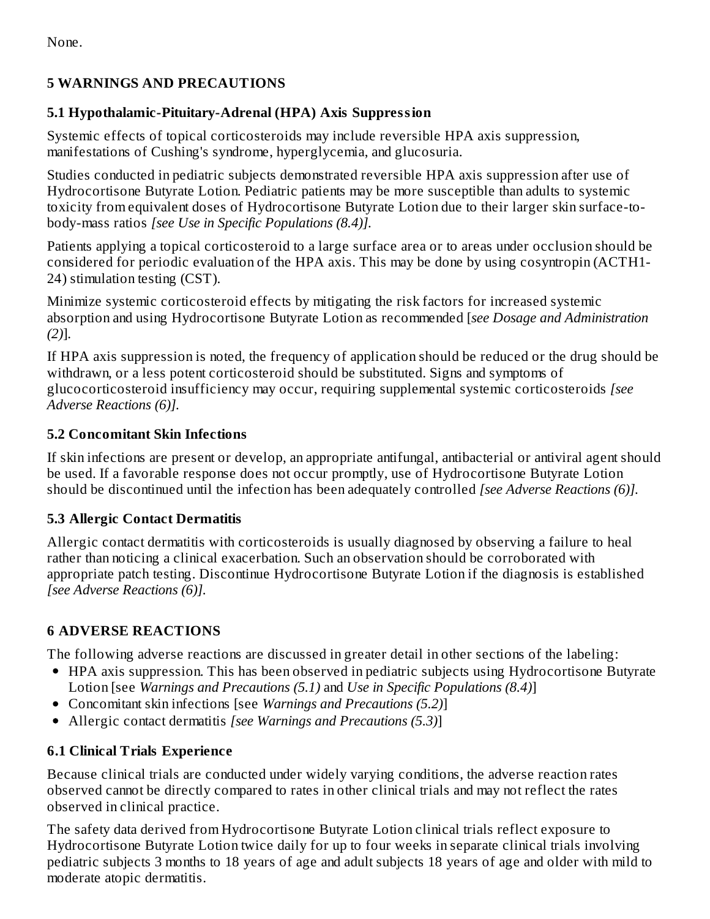None.

## **5 WARNINGS AND PRECAUTIONS**

## **5.1 Hypothalamic-Pituitary-Adrenal (HPA) Axis Suppression**

Systemic effects of topical corticosteroids may include reversible HPA axis suppression, manifestations of Cushing's syndrome, hyperglycemia, and glucosuria.

Studies conducted in pediatric subjects demonstrated reversible HPA axis suppression after use of Hydrocortisone Butyrate Lotion. Pediatric patients may be more susceptible than adults to systemic toxicity from equivalent doses of Hydrocortisone Butyrate Lotion due to their larger skin surface-tobody-mass ratios *[see Use in Specific Populations (8.4)].*

Patients applying a topical corticosteroid to a large surface area or to areas under occlusion should be considered for periodic evaluation of the HPA axis. This may be done by using cosyntropin (ACTH1- 24) stimulation testing (CST).

Minimize systemic corticosteroid effects by mitigating the risk factors for increased systemic absorption and using Hydrocortisone Butyrate Lotion as recommended [*see Dosage and Administration (2)*].

If HPA axis suppression is noted, the frequency of application should be reduced or the drug should be withdrawn, or a less potent corticosteroid should be substituted. Signs and symptoms of glucocorticosteroid insufficiency may occur, requiring supplemental systemic corticosteroids *[see Adverse Reactions (6)].*

## **5.2 Concomitant Skin Infections**

If skin infections are present or develop, an appropriate antifungal, antibacterial or antiviral agent should be used. If a favorable response does not occur promptly, use of Hydrocortisone Butyrate Lotion should be discontinued until the infection has been adequately controlled *[see Adverse Reactions (6)].*

## **5.3 Allergic Contact Dermatitis**

Allergic contact dermatitis with corticosteroids is usually diagnosed by observing a failure to heal rather than noticing a clinical exacerbation. Such an observation should be corroborated with appropriate patch testing. Discontinue Hydrocortisone Butyrate Lotion if the diagnosis is established *[see Adverse Reactions (6)].*

# **6 ADVERSE REACTIONS**

The following adverse reactions are discussed in greater detail in other sections of the labeling:

- HPA axis suppression. This has been observed in pediatric subjects using Hydrocortisone Butyrate Lotion [see *Warnings and Precautions (5.1)* and *Use in Specific Populations (8.4)*]
- Concomitant skin infections [see *Warnings and Precautions (5.2)*]
- Allergic contact dermatitis *[see Warnings and Precautions (5.3)*]

# **6.1 Clinical Trials Experience**

Because clinical trials are conducted under widely varying conditions, the adverse reaction rates observed cannot be directly compared to rates in other clinical trials and may not reflect the rates observed in clinical practice.

The safety data derived from Hydrocortisone Butyrate Lotion clinical trials reflect exposure to Hydrocortisone Butyrate Lotion twice daily for up to four weeks in separate clinical trials involving pediatric subjects 3 months to 18 years of age and adult subjects 18 years of age and older with mild to moderate atopic dermatitis.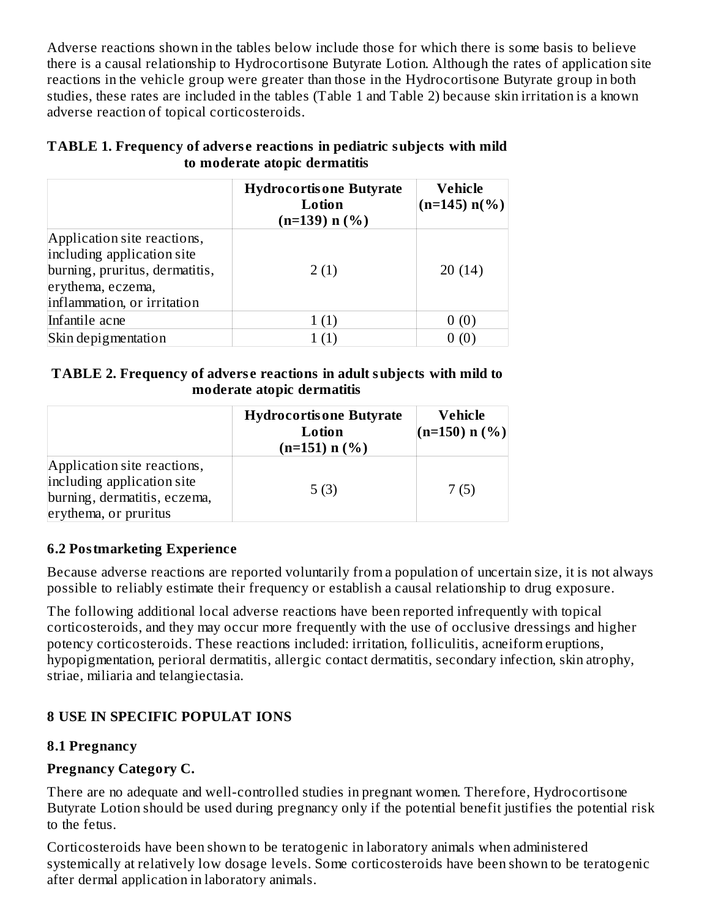Adverse reactions shown in the tables below include those for which there is some basis to believe there is a causal relationship to Hydrocortisone Butyrate Lotion. Although the rates of application site reactions in the vehicle group were greater than those in the Hydrocortisone Butyrate group in both studies, these rates are included in the tables (Table 1 and Table 2) because skin irritation is a known adverse reaction of topical corticosteroids.

|                                                                                                                                                 | <b>Hydrocortisone Butyrate</b><br>Lotion<br>$(n=139)$ n $(\%)$ | Vehicle<br>$(n=145)$ n(%) |
|-------------------------------------------------------------------------------------------------------------------------------------------------|----------------------------------------------------------------|---------------------------|
| Application site reactions,<br>including application site<br>burning, pruritus, dermatitis,<br>erythema, eczema,<br>inflammation, or irritation | 2(1)                                                           | 20(14)                    |
| Infantile acne                                                                                                                                  |                                                                |                           |
| Skin depigmentation                                                                                                                             |                                                                |                           |

#### **TABLE 1. Frequency of advers e reactions in pediatric subjects with mild to moderate atopic dermatitis**

#### **TABLE 2. Frequency of advers e reactions in adult subjects with mild to moderate atopic dermatitis**

|                                                                                                                    | <b>Hydrocortisone Butyrate</b><br>Lotion<br>$(n=151)$ n (%) | Vehicle<br>$(n=150) n (%)$ |
|--------------------------------------------------------------------------------------------------------------------|-------------------------------------------------------------|----------------------------|
| Application site reactions,<br>including application site<br>burning, dermatitis, eczema,<br>erythema, or pruritus | 5(3)                                                        | 7(5)                       |

## **6.2 Postmarketing Experience**

Because adverse reactions are reported voluntarily from a population of uncertain size, it is not always possible to reliably estimate their frequency or establish a causal relationship to drug exposure.

The following additional local adverse reactions have been reported infrequently with topical corticosteroids, and they may occur more frequently with the use of occlusive dressings and higher potency corticosteroids. These reactions included: irritation, folliculitis, acneiform eruptions, hypopigmentation, perioral dermatitis, allergic contact dermatitis, secondary infection, skin atrophy, striae, miliaria and telangiectasia.

# **8 USE IN SPECIFIC POPULAT IONS**

# **8.1 Pregnancy**

# **Pregnancy Category C.**

There are no adequate and well-controlled studies in pregnant women. Therefore, Hydrocortisone Butyrate Lotion should be used during pregnancy only if the potential benefit justifies the potential risk to the fetus.

Corticosteroids have been shown to be teratogenic in laboratory animals when administered systemically at relatively low dosage levels. Some corticosteroids have been shown to be teratogenic after dermal application in laboratory animals.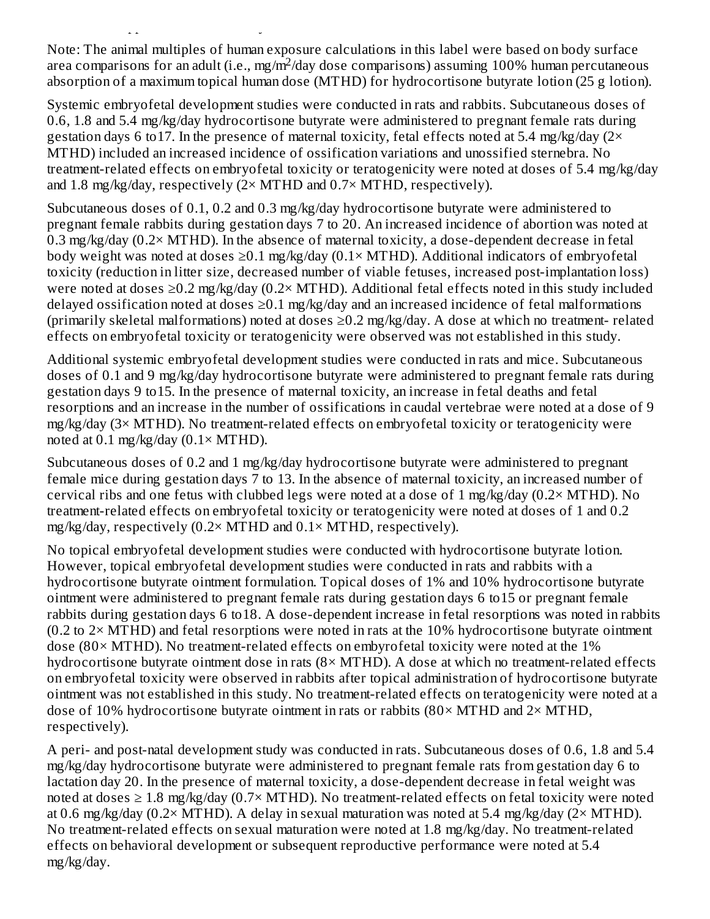Note: The animal multiples of human exposure calculations in this label were based on body surface area comparisons for an adult (i.e., mg/m<sup>2</sup>/day dose comparisons) assuming 100% human percutaneous absorption of a maximum topical human dose (MTHD) for hydrocortisone butyrate lotion (25 g lotion).

after dermal application in laboratory animals.

Systemic embryofetal development studies were conducted in rats and rabbits. Subcutaneous doses of 0.6, 1.8 and 5.4 mg/kg/day hydrocortisone butyrate were administered to pregnant female rats during gestation days 6 to 17. In the presence of maternal toxicity, fetal effects noted at 5.4 mg/kg/day ( $2\times$ MTHD) included an increased incidence of ossification variations and unossified sternebra. No treatment-related effects on embryofetal toxicity or teratogenicity were noted at doses of 5.4 mg/kg/day and 1.8 mg/kg/day, respectively  $(2 \times MTHD)$  and  $0.7 \times MTHD$ , respectively).

Subcutaneous doses of 0.1, 0.2 and 0.3 mg/kg/day hydrocortisone butyrate were administered to pregnant female rabbits during gestation days 7 to 20. An increased incidence of abortion was noted at 0.3 mg/kg/day (0.2 $\times$  MTHD). In the absence of maternal toxicity, a dose-dependent decrease in fetal body weight was noted at doses  $\geq 0.1$  mg/kg/day (0.1× MTHD). Additional indicators of embryofetal toxicity (reduction in litter size, decreased number of viable fetuses, increased post-implantation loss) were noted at doses ≥0.2 mg/kg/day (0.2× MTHD). Additional fetal effects noted in this study included delayed ossification noted at doses  $\geq$ 0.1 mg/kg/day and an increased incidence of fetal malformations (primarily skeletal malformations) noted at doses  $\geq$ 0.2 mg/kg/day. A dose at which no treatment- related effects on embryofetal toxicity or teratogenicity were observed was not established in this study.

Additional systemic embryofetal development studies were conducted in rats and mice. Subcutaneous doses of 0.1 and 9 mg/kg/day hydrocortisone butyrate were administered to pregnant female rats during gestation days 9 to15. In the presence of maternal toxicity, an increase in fetal deaths and fetal resorptions and an increase in the number of ossifications in caudal vertebrae were noted at a dose of 9 mg/kg/day (3× MTHD). No treatment-related effects on embryofetal toxicity or teratogenicity were noted at  $0.1$  mg/kg/day  $(0.1 \times MTHD)$ .

Subcutaneous doses of 0.2 and 1 mg/kg/day hydrocortisone butyrate were administered to pregnant female mice during gestation days 7 to 13. In the absence of maternal toxicity, an increased number of cervical ribs and one fetus with clubbed legs were noted at a dose of 1 mg/kg/day (0.2 $\times$  MTHD). No treatment-related effects on embryofetal toxicity or teratogenicity were noted at doses of 1 and 0.2 mg/kg/day, respectively (0.2× MTHD and 0.1× MTHD, respectively).

No topical embryofetal development studies were conducted with hydrocortisone butyrate lotion. However, topical embryofetal development studies were conducted in rats and rabbits with a hydrocortisone butyrate ointment formulation. Topical doses of 1% and 10% hydrocortisone butyrate ointment were administered to pregnant female rats during gestation days 6 to15 or pregnant female rabbits during gestation days 6 to18. A dose-dependent increase in fetal resorptions was noted in rabbits  $(0.2 \text{ to } 2 \times \text{MTHD})$  and fetal resorptions were noted in rats at the 10% hydrocortisone butyrate ointment dose  $(80 \times MTHD)$ . No treatment-related effects on embyrofetal toxicity were noted at the 1% hydrocortisone butyrate ointment dose in rats (8× MTHD). A dose at which no treatment-related effects on embryofetal toxicity were observed in rabbits after topical administration of hydrocortisone butyrate ointment was not established in this study. No treatment-related effects on teratogenicity were noted at a dose of 10% hydrocortisone butyrate ointment in rats or rabbits  $(80 \times MTHD)$  and  $2 \times MTHD$ , respectively).

A peri- and post-natal development study was conducted in rats. Subcutaneous doses of 0.6, 1.8 and 5.4 mg/kg/day hydrocortisone butyrate were administered to pregnant female rats from gestation day 6 to lactation day 20. In the presence of maternal toxicity, a dose-dependent decrease in fetal weight was noted at doses ≥ 1.8 mg/kg/day (0.7× MTHD). No treatment-related effects on fetal toxicity were noted at 0.6 mg/kg/day (0.2× MTHD). A delay in sexual maturation was noted at 5.4 mg/kg/day (2× MTHD). No treatment-related effects on sexual maturation were noted at 1.8 mg/kg/day. No treatment-related effects on behavioral development or subsequent reproductive performance were noted at 5.4 mg/kg/day.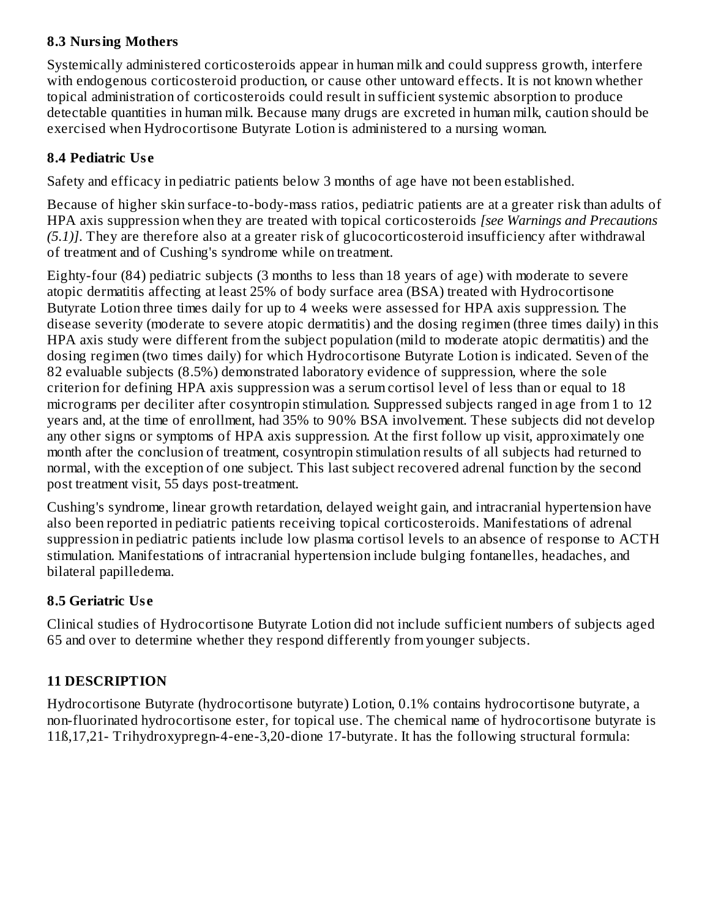### **8.3 Nursing Mothers**

Systemically administered corticosteroids appear in human milk and could suppress growth, interfere with endogenous corticosteroid production, or cause other untoward effects. It is not known whether topical administration of corticosteroids could result in sufficient systemic absorption to produce detectable quantities in human milk. Because many drugs are excreted in human milk, caution should be exercised when Hydrocortisone Butyrate Lotion is administered to a nursing woman.

## **8.4 Pediatric Us e**

Safety and efficacy in pediatric patients below 3 months of age have not been established.

Because of higher skin surface-to-body-mass ratios, pediatric patients are at a greater risk than adults of HPA axis suppression when they are treated with topical corticosteroids *[see Warnings and Precautions (5.1)]*. They are therefore also at a greater risk of glucocorticosteroid insufficiency after withdrawal of treatment and of Cushing's syndrome while on treatment.

Eighty-four (84) pediatric subjects (3 months to less than 18 years of age) with moderate to severe atopic dermatitis affecting at least 25% of body surface area (BSA) treated with Hydrocortisone Butyrate Lotion three times daily for up to 4 weeks were assessed for HPA axis suppression. The disease severity (moderate to severe atopic dermatitis) and the dosing regimen (three times daily) in this HPA axis study were different from the subject population (mild to moderate atopic dermatitis) and the dosing regimen (two times daily) for which Hydrocortisone Butyrate Lotion is indicated. Seven of the 82 evaluable subjects (8.5%) demonstrated laboratory evidence of suppression, where the sole criterion for defining HPA axis suppression was a serum cortisol level of less than or equal to 18 micrograms per deciliter after cosyntropin stimulation. Suppressed subjects ranged in age from 1 to 12 years and, at the time of enrollment, had 35% to 90% BSA involvement. These subjects did not develop any other signs or symptoms of HPA axis suppression. At the first follow up visit, approximately one month after the conclusion of treatment, cosyntropin stimulation results of all subjects had returned to normal, with the exception of one subject. This last subject recovered adrenal function by the second post treatment visit, 55 days post-treatment.

Cushing's syndrome, linear growth retardation, delayed weight gain, and intracranial hypertension have also been reported in pediatric patients receiving topical corticosteroids. Manifestations of adrenal suppression in pediatric patients include low plasma cortisol levels to an absence of response to ACTH stimulation. Manifestations of intracranial hypertension include bulging fontanelles, headaches, and bilateral papilledema.

## **8.5 Geriatric Us e**

Clinical studies of Hydrocortisone Butyrate Lotion did not include sufficient numbers of subjects aged 65 and over to determine whether they respond differently from younger subjects.

## **11 DESCRIPTION**

Hydrocortisone Butyrate (hydrocortisone butyrate) Lotion, 0.1% contains hydrocortisone butyrate, a non-fluorinated hydrocortisone ester, for topical use. The chemical name of hydrocortisone butyrate is 11ß,17,21- Trihydroxypregn-4-ene-3,20-dione 17-butyrate. It has the following structural formula: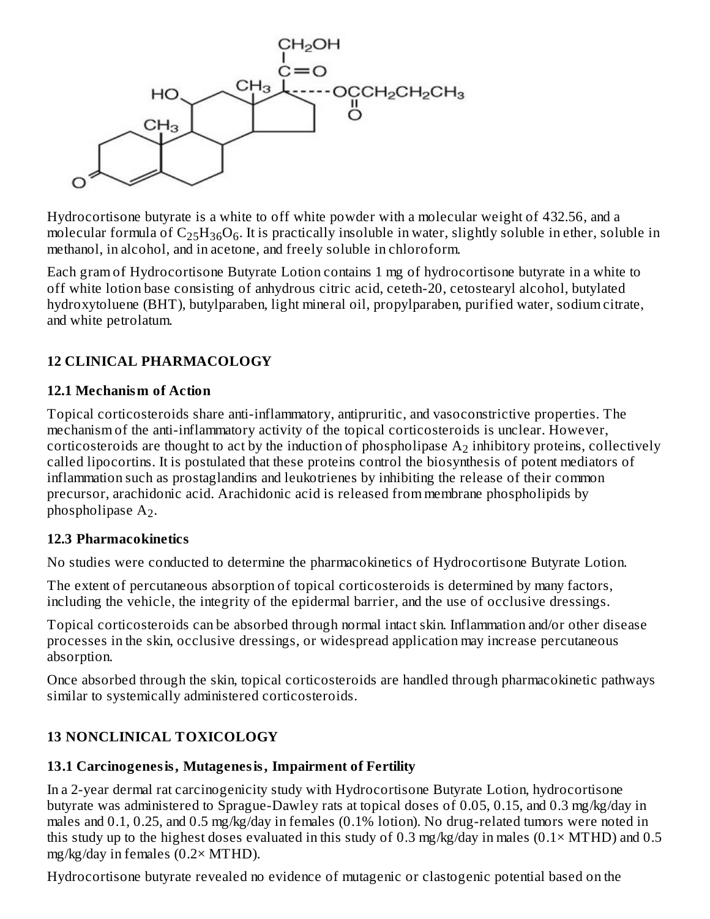

Hydrocortisone butyrate is a white to off white powder with a molecular weight of 432.56, and a molecular formula of  $\rm{C_{25}H_{36}O_6}$ . It is practically insoluble in water, slightly soluble in ether, soluble in methanol, in alcohol, and in acetone, and freely soluble in chloroform.

Each gram of Hydrocortisone Butyrate Lotion contains 1 mg of hydrocortisone butyrate in a white to off white lotion base consisting of anhydrous citric acid, ceteth-20, cetostearyl alcohol, butylated hydroxytoluene (BHT), butylparaben, light mineral oil, propylparaben, purified water, sodium citrate, and white petrolatum.

## **12 CLINICAL PHARMACOLOGY**

#### **12.1 Mechanism of Action**

Topical corticosteroids share anti-inflammatory, antipruritic, and vasoconstrictive properties. The mechanism of the anti-inflammatory activity of the topical corticosteroids is unclear. However, corticosteroids are thought to act by the induction of phospholipase  $\rm A_{2}$  inhibitory proteins, collectively called lipocortins. It is postulated that these proteins control the biosynthesis of potent mediators of inflammation such as prostaglandins and leukotrienes by inhibiting the release of their common precursor, arachidonic acid. Arachidonic acid is released from membrane phospholipids by phospholipase  $A_2$ .

## **12.3 Pharmacokinetics**

No studies were conducted to determine the pharmacokinetics of Hydrocortisone Butyrate Lotion.

The extent of percutaneous absorption of topical corticosteroids is determined by many factors, including the vehicle, the integrity of the epidermal barrier, and the use of occlusive dressings.

Topical corticosteroids can be absorbed through normal intact skin. Inflammation and/or other disease processes in the skin, occlusive dressings, or widespread application may increase percutaneous absorption.

Once absorbed through the skin, topical corticosteroids are handled through pharmacokinetic pathways similar to systemically administered corticosteroids.

# **13 NONCLINICAL TOXICOLOGY**

# **13.1 Carcinogenesis, Mutagenesis, Impairment of Fertility**

In a 2-year dermal rat carcinogenicity study with Hydrocortisone Butyrate Lotion, hydrocortisone butyrate was administered to Sprague-Dawley rats at topical doses of 0.05, 0.15, and 0.3 mg/kg/day in males and 0.1, 0.25, and 0.5 mg/kg/day in females (0.1% lotion). No drug-related tumors were noted in this study up to the highest doses evaluated in this study of 0.3 mg/kg/day in males  $(0.1 \times MTHD)$  and 0.5 mg/kg/day in females (0.2× MTHD).

Hydrocortisone butyrate revealed no evidence of mutagenic or clastogenic potential based on the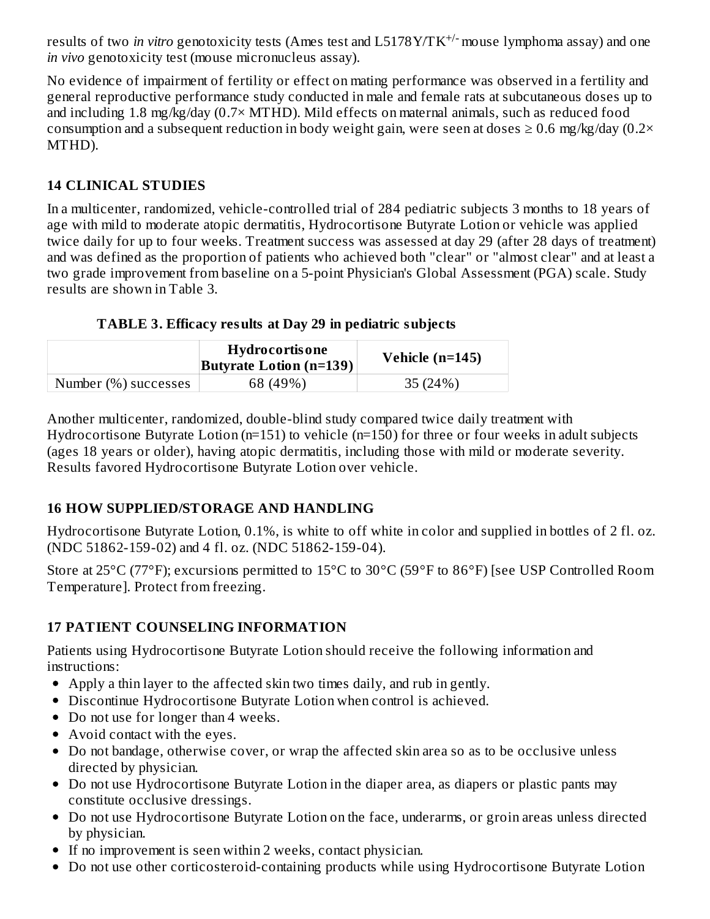results of two *in vitro* genotoxicity tests (Ames test and L5178Y/TK<sup>+/-</sup> mouse lymphoma assay) and one *in vivo* genotoxicity test (mouse micronucleus assay).

No evidence of impairment of fertility or effect on mating performance was observed in a fertility and general reproductive performance study conducted in male and female rats at subcutaneous doses up to and including 1.8 mg/kg/day (0.7× MTHD). Mild effects on maternal animals, such as reduced food consumption and a subsequent reduction in body weight gain, were seen at doses  $\geq 0.6$  mg/kg/day (0.2× MTHD).

## **14 CLINICAL STUDIES**

In a multicenter, randomized, vehicle-controlled trial of 284 pediatric subjects 3 months to 18 years of age with mild to moderate atopic dermatitis, Hydrocortisone Butyrate Lotion or vehicle was applied twice daily for up to four weeks. Treatment success was assessed at day 29 (after 28 days of treatment) and was defined as the proportion of patients who achieved both "clear" or "almost clear" and at least a two grade improvement from baseline on a 5-point Physician's Global Assessment (PGA) scale. Study results are shown in Table 3.

## **TABLE 3. Efficacy results at Day 29 in pediatric subjects**

|                      | <b>Hydrocortisone</b><br><b>Butyrate Lotion (n=139)</b> | Vehicle $(n=145)$ |
|----------------------|---------------------------------------------------------|-------------------|
| Number (%) successes | 68 (49%)                                                | 35 (24%)          |

Another multicenter, randomized, double-blind study compared twice daily treatment with Hydrocortisone Butyrate Lotion (n=151) to vehicle (n=150) for three or four weeks in adult subjects (ages 18 years or older), having atopic dermatitis, including those with mild or moderate severity. Results favored Hydrocortisone Butyrate Lotion over vehicle.

## **16 HOW SUPPLIED/STORAGE AND HANDLING**

Hydrocortisone Butyrate Lotion, 0.1%, is white to off white in color and supplied in bottles of 2 fl. oz. (NDC 51862-159-02) and 4 fl. oz. (NDC 51862-159-04).

Store at 25°C (77°F); excursions permitted to 15°C to 30°C (59°F to 86°F) [see USP Controlled Room Temperature]. Protect from freezing.

# **17 PATIENT COUNSELING INFORMATION**

Patients using Hydrocortisone Butyrate Lotion should receive the following information and instructions:

- Apply a thin layer to the affected skin two times daily, and rub in gently.
- Discontinue Hydrocortisone Butyrate Lotion when control is achieved.
- Do not use for longer than 4 weeks.
- Avoid contact with the eyes.
- Do not bandage, otherwise cover, or wrap the affected skin area so as to be occlusive unless directed by physician.
- Do not use Hydrocortisone Butyrate Lotion in the diaper area, as diapers or plastic pants may constitute occlusive dressings.
- Do not use Hydrocortisone Butyrate Lotion on the face, underarms, or groin areas unless directed by physician.
- If no improvement is seen within 2 weeks, contact physician.
- Do not use other corticosteroid-containing products while using Hydrocortisone Butyrate Lotion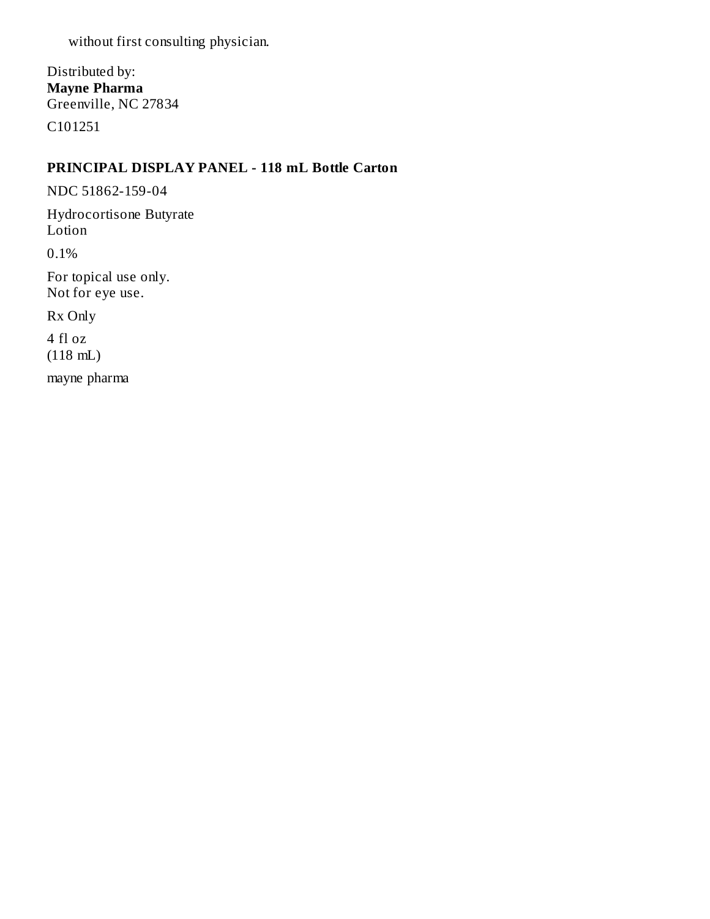without first consulting physician.

Distributed by: **Mayne Pharma** Greenville, NC 27834 C101251

#### **PRINCIPAL DISPLAY PANEL - 118 mL Bottle Carton**

NDC 51862-159-04

Hydrocortisone Butyrate Lotion

0.1%

For topical use only. Not for eye use.

Rx Only

4 fl oz (118 mL)

mayne pharma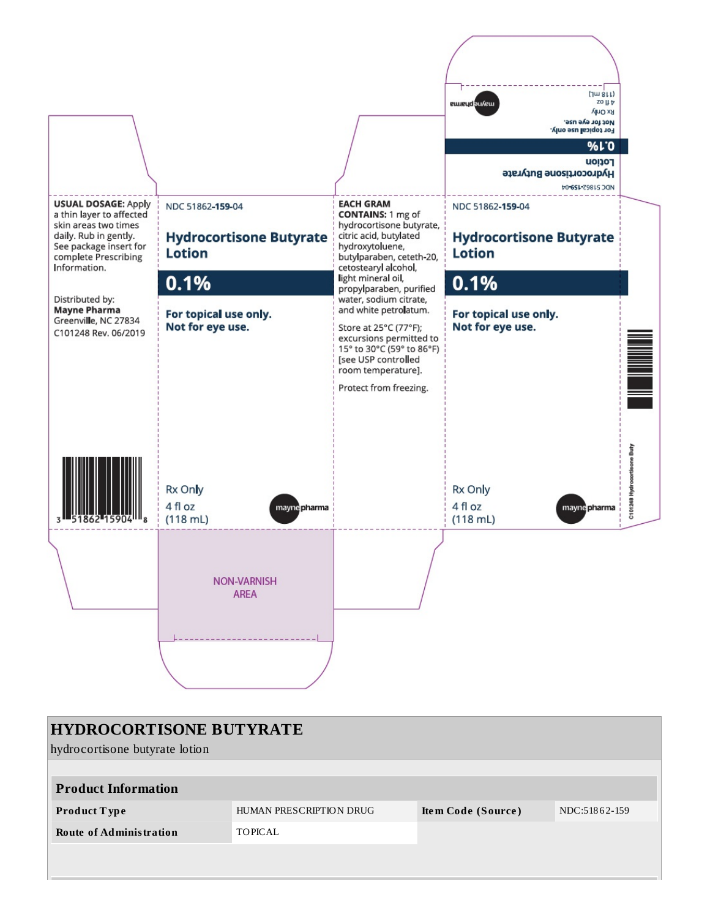

| <b>HYDROCORTISONE BUTYRATE</b> |                         |                    |               |  |
|--------------------------------|-------------------------|--------------------|---------------|--|
| hydrocortisone butyrate lotion |                         |                    |               |  |
|                                |                         |                    |               |  |
| <b>Product Information</b>     |                         |                    |               |  |
| <b>Product Type</b>            | HUMAN PRESCRIPTION DRUG | Item Code (Source) | NDC:51862-159 |  |
| <b>Route of Administration</b> | TOPICAL                 |                    |               |  |
|                                |                         |                    |               |  |
|                                |                         |                    |               |  |